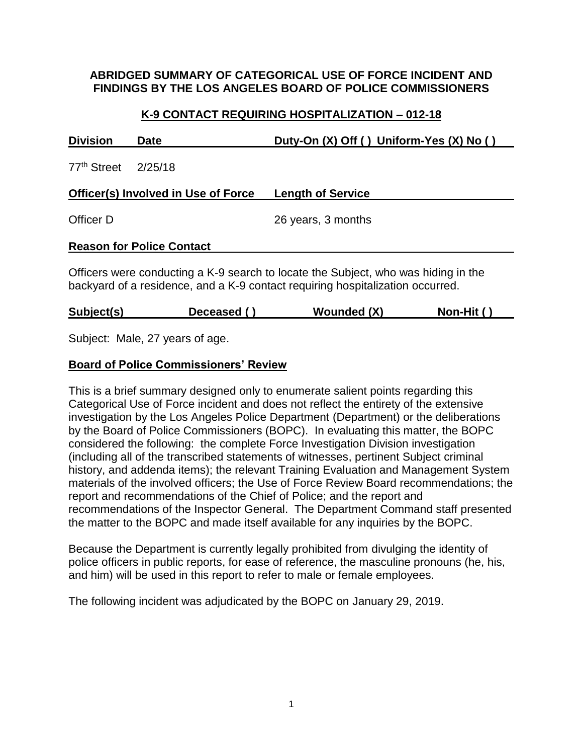### **ABRIDGED SUMMARY OF CATEGORICAL USE OF FORCE INCIDENT AND FINDINGS BY THE LOS ANGELES BOARD OF POLICE COMMISSIONERS**

# **K-9 CONTACT REQUIRING HOSPITALIZATION – 012-18**

| <b>Division</b>                                                                                                                                                      | <b>Date</b>                         | Duty-On (X) Off () Uniform-Yes (X) No () |  |  |
|----------------------------------------------------------------------------------------------------------------------------------------------------------------------|-------------------------------------|------------------------------------------|--|--|
| 77 <sup>th</sup> Street                                                                                                                                              | 2/25/18                             |                                          |  |  |
|                                                                                                                                                                      | Officer(s) Involved in Use of Force | <b>Length of Service</b>                 |  |  |
| Officer D                                                                                                                                                            |                                     | 26 years, 3 months                       |  |  |
| <b>Reason for Police Contact</b>                                                                                                                                     |                                     |                                          |  |  |
| Officers were conducting a K-9 search to locate the Subject, who was hiding in the<br>backyard of a residence, and a K-9 contact requiring hospitalization occurred. |                                     |                                          |  |  |

| Subject(s) | Deceased () | <b>Wounded (X)</b> | Non-Hit ( |
|------------|-------------|--------------------|-----------|
|            |             |                    |           |

Subject: Male, 27 years of age.

# **Board of Police Commissioners' Review**

This is a brief summary designed only to enumerate salient points regarding this Categorical Use of Force incident and does not reflect the entirety of the extensive investigation by the Los Angeles Police Department (Department) or the deliberations by the Board of Police Commissioners (BOPC). In evaluating this matter, the BOPC considered the following: the complete Force Investigation Division investigation (including all of the transcribed statements of witnesses, pertinent Subject criminal history, and addenda items); the relevant Training Evaluation and Management System materials of the involved officers; the Use of Force Review Board recommendations; the report and recommendations of the Chief of Police; and the report and recommendations of the Inspector General. The Department Command staff presented the matter to the BOPC and made itself available for any inquiries by the BOPC.

Because the Department is currently legally prohibited from divulging the identity of police officers in public reports, for ease of reference, the masculine pronouns (he, his, and him) will be used in this report to refer to male or female employees.

The following incident was adjudicated by the BOPC on January 29, 2019.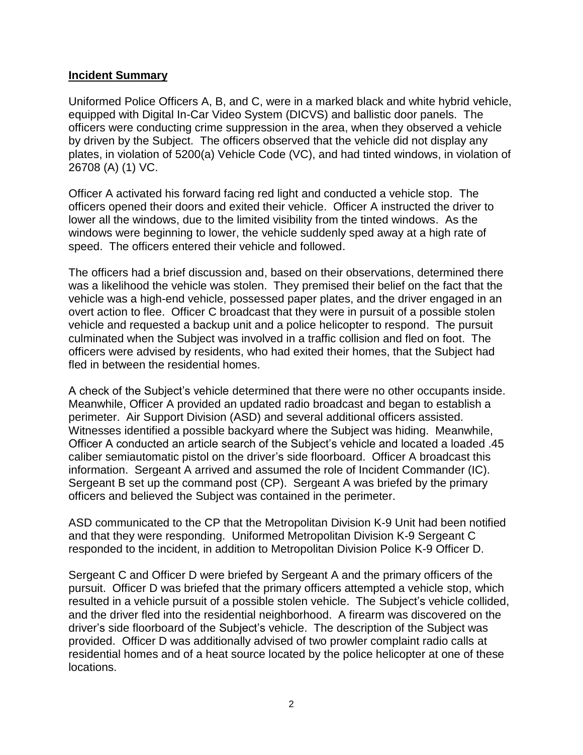#### **Incident Summary**

Uniformed Police Officers A, B, and C, were in a marked black and white hybrid vehicle, equipped with Digital In-Car Video System (DICVS) and ballistic door panels. The officers were conducting crime suppression in the area, when they observed a vehicle by driven by the Subject. The officers observed that the vehicle did not display any plates, in violation of 5200(a) Vehicle Code (VC), and had tinted windows, in violation of 26708 (A) (1) VC.

Officer A activated his forward facing red light and conducted a vehicle stop. The officers opened their doors and exited their vehicle. Officer A instructed the driver to lower all the windows, due to the limited visibility from the tinted windows. As the windows were beginning to lower, the vehicle suddenly sped away at a high rate of speed. The officers entered their vehicle and followed.

The officers had a brief discussion and, based on their observations, determined there was a likelihood the vehicle was stolen. They premised their belief on the fact that the vehicle was a high-end vehicle, possessed paper plates, and the driver engaged in an overt action to flee. Officer C broadcast that they were in pursuit of a possible stolen vehicle and requested a backup unit and a police helicopter to respond. The pursuit culminated when the Subject was involved in a traffic collision and fled on foot. The officers were advised by residents, who had exited their homes, that the Subject had fled in between the residential homes.

A check of the Subject's vehicle determined that there were no other occupants inside. Meanwhile, Officer A provided an updated radio broadcast and began to establish a perimeter. Air Support Division (ASD) and several additional officers assisted. Witnesses identified a possible backyard where the Subject was hiding. Meanwhile, Officer A conducted an article search of the Subject's vehicle and located a loaded .45 caliber semiautomatic pistol on the driver's side floorboard. Officer A broadcast this information. Sergeant A arrived and assumed the role of Incident Commander (IC). Sergeant B set up the command post (CP). Sergeant A was briefed by the primary officers and believed the Subject was contained in the perimeter.

ASD communicated to the CP that the Metropolitan Division K-9 Unit had been notified and that they were responding. Uniformed Metropolitan Division K-9 Sergeant C responded to the incident, in addition to Metropolitan Division Police K-9 Officer D.

Sergeant C and Officer D were briefed by Sergeant A and the primary officers of the pursuit. Officer D was briefed that the primary officers attempted a vehicle stop, which resulted in a vehicle pursuit of a possible stolen vehicle. The Subject's vehicle collided, and the driver fled into the residential neighborhood. A firearm was discovered on the driver's side floorboard of the Subject's vehicle. The description of the Subject was provided. Officer D was additionally advised of two prowler complaint radio calls at residential homes and of a heat source located by the police helicopter at one of these locations.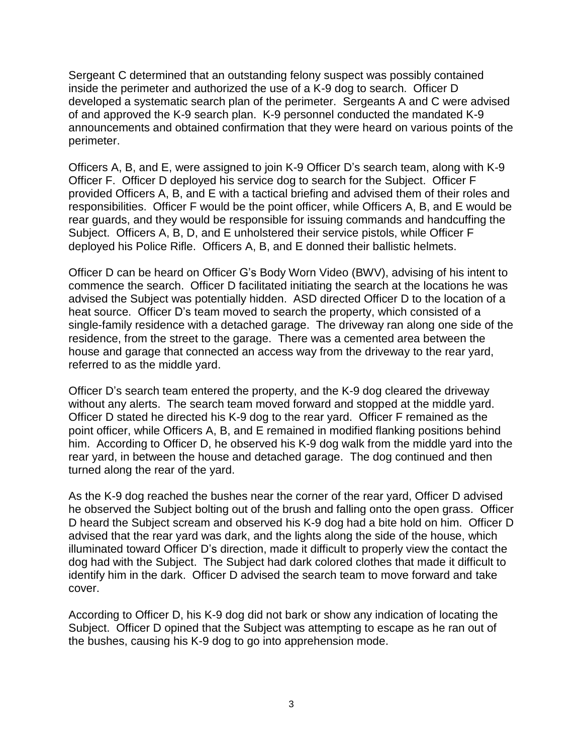Sergeant C determined that an outstanding felony suspect was possibly contained inside the perimeter and authorized the use of a K-9 dog to search. Officer D developed a systematic search plan of the perimeter. Sergeants A and C were advised of and approved the K-9 search plan. K-9 personnel conducted the mandated K-9 announcements and obtained confirmation that they were heard on various points of the perimeter.

Officers A, B, and E, were assigned to join K-9 Officer D's search team, along with K-9 Officer F. Officer D deployed his service dog to search for the Subject. Officer F provided Officers A, B, and E with a tactical briefing and advised them of their roles and responsibilities. Officer F would be the point officer, while Officers A, B, and E would be rear guards, and they would be responsible for issuing commands and handcuffing the Subject. Officers A, B, D, and E unholstered their service pistols, while Officer F deployed his Police Rifle. Officers A, B, and E donned their ballistic helmets.

Officer D can be heard on Officer G's Body Worn Video (BWV), advising of his intent to commence the search. Officer D facilitated initiating the search at the locations he was advised the Subject was potentially hidden. ASD directed Officer D to the location of a heat source. Officer D's team moved to search the property, which consisted of a single-family residence with a detached garage. The driveway ran along one side of the residence, from the street to the garage. There was a cemented area between the house and garage that connected an access way from the driveway to the rear yard, referred to as the middle yard.

Officer D's search team entered the property, and the K-9 dog cleared the driveway without any alerts. The search team moved forward and stopped at the middle yard. Officer D stated he directed his K-9 dog to the rear yard. Officer F remained as the point officer, while Officers A, B, and E remained in modified flanking positions behind him. According to Officer D, he observed his K-9 dog walk from the middle yard into the rear yard, in between the house and detached garage. The dog continued and then turned along the rear of the yard.

As the K-9 dog reached the bushes near the corner of the rear yard, Officer D advised he observed the Subject bolting out of the brush and falling onto the open grass. Officer D heard the Subject scream and observed his K-9 dog had a bite hold on him. Officer D advised that the rear yard was dark, and the lights along the side of the house, which illuminated toward Officer D's direction, made it difficult to properly view the contact the dog had with the Subject. The Subject had dark colored clothes that made it difficult to identify him in the dark. Officer D advised the search team to move forward and take cover.

According to Officer D, his K-9 dog did not bark or show any indication of locating the Subject. Officer D opined that the Subject was attempting to escape as he ran out of the bushes, causing his K-9 dog to go into apprehension mode.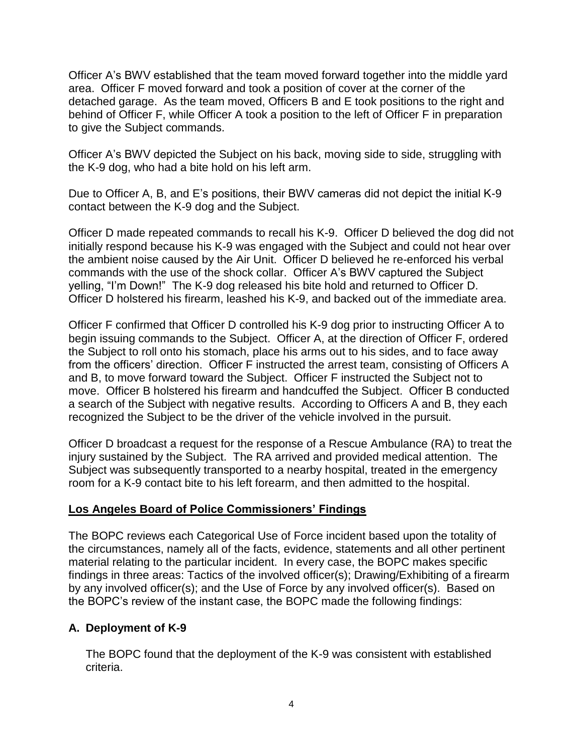Officer A's BWV established that the team moved forward together into the middle yard area. Officer F moved forward and took a position of cover at the corner of the detached garage. As the team moved, Officers B and E took positions to the right and behind of Officer F, while Officer A took a position to the left of Officer F in preparation to give the Subject commands.

Officer A's BWV depicted the Subject on his back, moving side to side, struggling with the K-9 dog, who had a bite hold on his left arm.

Due to Officer A, B, and E's positions, their BWV cameras did not depict the initial K-9 contact between the K-9 dog and the Subject.

Officer D made repeated commands to recall his K-9. Officer D believed the dog did not initially respond because his K-9 was engaged with the Subject and could not hear over the ambient noise caused by the Air Unit. Officer D believed he re-enforced his verbal commands with the use of the shock collar. Officer A's BWV captured the Subject yelling, "I'm Down!" The K-9 dog released his bite hold and returned to Officer D. Officer D holstered his firearm, leashed his K-9, and backed out of the immediate area.

Officer F confirmed that Officer D controlled his K-9 dog prior to instructing Officer A to begin issuing commands to the Subject. Officer A, at the direction of Officer F, ordered the Subject to roll onto his stomach, place his arms out to his sides, and to face away from the officers' direction. Officer F instructed the arrest team, consisting of Officers A and B, to move forward toward the Subject. Officer F instructed the Subject not to move. Officer B holstered his firearm and handcuffed the Subject. Officer B conducted a search of the Subject with negative results. According to Officers A and B, they each recognized the Subject to be the driver of the vehicle involved in the pursuit.

Officer D broadcast a request for the response of a Rescue Ambulance (RA) to treat the injury sustained by the Subject. The RA arrived and provided medical attention. The Subject was subsequently transported to a nearby hospital, treated in the emergency room for a K-9 contact bite to his left forearm, and then admitted to the hospital.

#### **Los Angeles Board of Police Commissioners' Findings**

The BOPC reviews each Categorical Use of Force incident based upon the totality of the circumstances, namely all of the facts, evidence, statements and all other pertinent material relating to the particular incident. In every case, the BOPC makes specific findings in three areas: Tactics of the involved officer(s); Drawing/Exhibiting of a firearm by any involved officer(s); and the Use of Force by any involved officer(s). Based on the BOPC's review of the instant case, the BOPC made the following findings:

# **A. Deployment of K-9**

The BOPC found that the deployment of the K-9 was consistent with established criteria.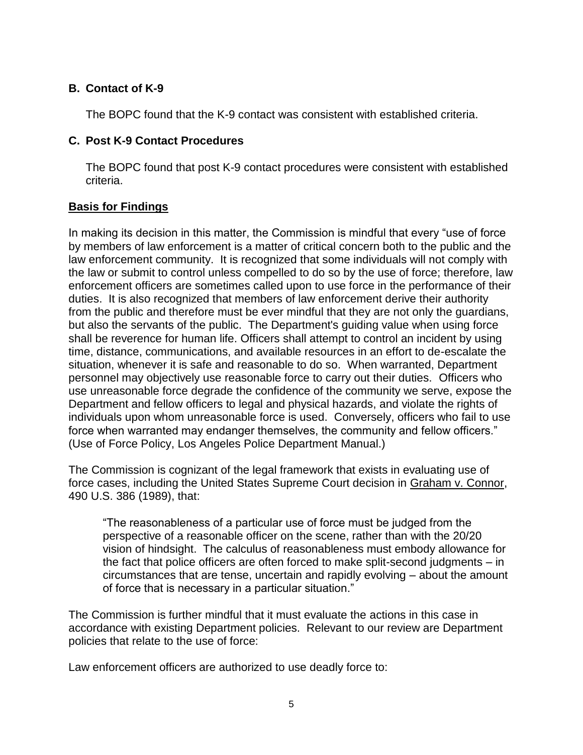# **B. Contact of K-9**

The BOPC found that the K-9 contact was consistent with established criteria.

### **C. Post K-9 Contact Procedures**

The BOPC found that post K-9 contact procedures were consistent with established criteria.

# **Basis for Findings**

In making its decision in this matter, the Commission is mindful that every "use of force by members of law enforcement is a matter of critical concern both to the public and the law enforcement community. It is recognized that some individuals will not comply with the law or submit to control unless compelled to do so by the use of force; therefore, law enforcement officers are sometimes called upon to use force in the performance of their duties. It is also recognized that members of law enforcement derive their authority from the public and therefore must be ever mindful that they are not only the guardians, but also the servants of the public. The Department's guiding value when using force shall be reverence for human life. Officers shall attempt to control an incident by using time, distance, communications, and available resources in an effort to de-escalate the situation, whenever it is safe and reasonable to do so. When warranted, Department personnel may objectively use reasonable force to carry out their duties. Officers who use unreasonable force degrade the confidence of the community we serve, expose the Department and fellow officers to legal and physical hazards, and violate the rights of individuals upon whom unreasonable force is used. Conversely, officers who fail to use force when warranted may endanger themselves, the community and fellow officers." (Use of Force Policy, Los Angeles Police Department Manual.)

The Commission is cognizant of the legal framework that exists in evaluating use of force cases, including the United States Supreme Court decision in Graham v. Connor, 490 U.S. 386 (1989), that:

"The reasonableness of a particular use of force must be judged from the perspective of a reasonable officer on the scene, rather than with the 20/20 vision of hindsight. The calculus of reasonableness must embody allowance for the fact that police officers are often forced to make split-second judgments – in circumstances that are tense, uncertain and rapidly evolving – about the amount of force that is necessary in a particular situation."

The Commission is further mindful that it must evaluate the actions in this case in accordance with existing Department policies. Relevant to our review are Department policies that relate to the use of force:

Law enforcement officers are authorized to use deadly force to: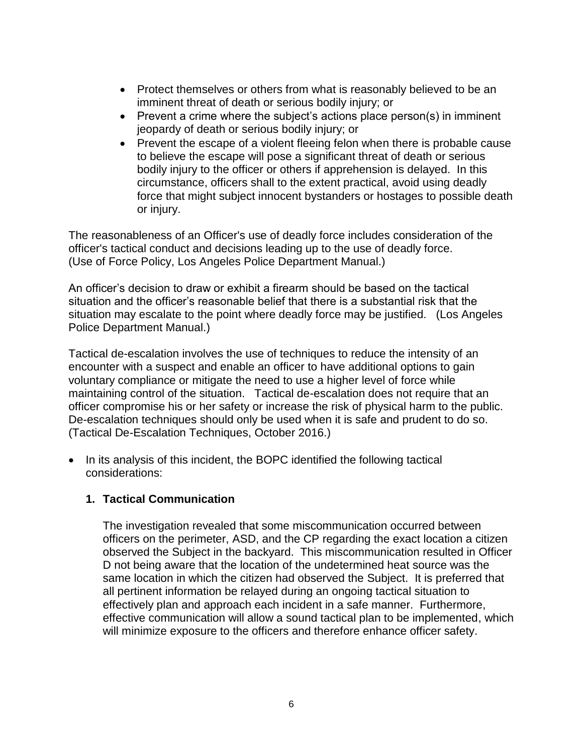- Protect themselves or others from what is reasonably believed to be an imminent threat of death or serious bodily injury; or
- Prevent a crime where the subject's actions place person(s) in imminent jeopardy of death or serious bodily injury; or
- Prevent the escape of a violent fleeing felon when there is probable cause to believe the escape will pose a significant threat of death or serious bodily injury to the officer or others if apprehension is delayed. In this circumstance, officers shall to the extent practical, avoid using deadly force that might subject innocent bystanders or hostages to possible death or injury.

The reasonableness of an Officer's use of deadly force includes consideration of the officer's tactical conduct and decisions leading up to the use of deadly force. (Use of Force Policy, Los Angeles Police Department Manual.)

An officer's decision to draw or exhibit a firearm should be based on the tactical situation and the officer's reasonable belief that there is a substantial risk that the situation may escalate to the point where deadly force may be justified. (Los Angeles Police Department Manual.)

Tactical de-escalation involves the use of techniques to reduce the intensity of an encounter with a suspect and enable an officer to have additional options to gain voluntary compliance or mitigate the need to use a higher level of force while maintaining control of the situation. Tactical de-escalation does not require that an officer compromise his or her safety or increase the risk of physical harm to the public. De-escalation techniques should only be used when it is safe and prudent to do so. (Tactical De-Escalation Techniques, October 2016.)

• In its analysis of this incident, the BOPC identified the following tactical considerations:

# **1. Tactical Communication**

The investigation revealed that some miscommunication occurred between officers on the perimeter, ASD, and the CP regarding the exact location a citizen observed the Subject in the backyard. This miscommunication resulted in Officer D not being aware that the location of the undetermined heat source was the same location in which the citizen had observed the Subject. It is preferred that all pertinent information be relayed during an ongoing tactical situation to effectively plan and approach each incident in a safe manner. Furthermore, effective communication will allow a sound tactical plan to be implemented, which will minimize exposure to the officers and therefore enhance officer safety.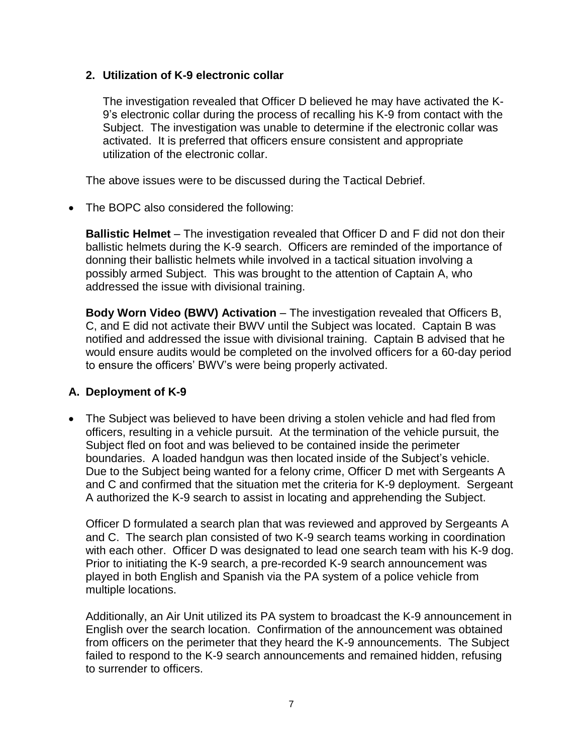### **2. Utilization of K-9 electronic collar**

The investigation revealed that Officer D believed he may have activated the K-9's electronic collar during the process of recalling his K-9 from contact with the Subject. The investigation was unable to determine if the electronic collar was activated. It is preferred that officers ensure consistent and appropriate utilization of the electronic collar.

The above issues were to be discussed during the Tactical Debrief.

• The BOPC also considered the following:

**Ballistic Helmet** – The investigation revealed that Officer D and F did not don their ballistic helmets during the K-9 search. Officers are reminded of the importance of donning their ballistic helmets while involved in a tactical situation involving a possibly armed Subject. This was brought to the attention of Captain A, who addressed the issue with divisional training.

**Body Worn Video (BWV) Activation** – The investigation revealed that Officers B, C, and E did not activate their BWV until the Subject was located. Captain B was notified and addressed the issue with divisional training. Captain B advised that he would ensure audits would be completed on the involved officers for a 60-day period to ensure the officers' BWV's were being properly activated.

#### **A. Deployment of K-9**

• The Subject was believed to have been driving a stolen vehicle and had fled from officers, resulting in a vehicle pursuit. At the termination of the vehicle pursuit, the Subject fled on foot and was believed to be contained inside the perimeter boundaries. A loaded handgun was then located inside of the Subject's vehicle. Due to the Subject being wanted for a felony crime, Officer D met with Sergeants A and C and confirmed that the situation met the criteria for K-9 deployment. Sergeant A authorized the K-9 search to assist in locating and apprehending the Subject.

Officer D formulated a search plan that was reviewed and approved by Sergeants A and C. The search plan consisted of two K-9 search teams working in coordination with each other. Officer D was designated to lead one search team with his K-9 dog. Prior to initiating the K-9 search, a pre-recorded K-9 search announcement was played in both English and Spanish via the PA system of a police vehicle from multiple locations.

Additionally, an Air Unit utilized its PA system to broadcast the K-9 announcement in English over the search location. Confirmation of the announcement was obtained from officers on the perimeter that they heard the K-9 announcements. The Subject failed to respond to the K-9 search announcements and remained hidden, refusing to surrender to officers.